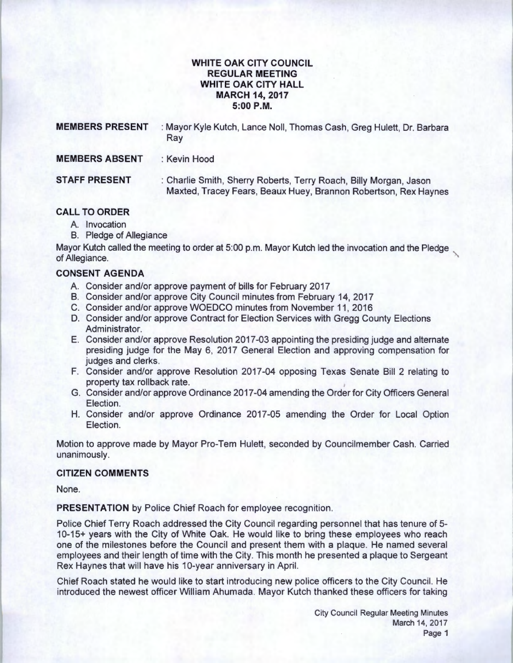## **WHITE OAK CITY COUNCIL REGULAR MEETING WHITE OAK CITY HALL MARCH 14, 2017 5:00P.M.**

| <b>MEMBERS PRESENT</b> | : Mayor Kyle Kutch, Lance Noll, Thomas Cash, Greg Hulett, Dr. Barbara<br>Ray                                                         |  |
|------------------------|--------------------------------------------------------------------------------------------------------------------------------------|--|
| <b>MEMBERS ABSENT</b>  | : Kevin Hood                                                                                                                         |  |
| <b>STAFF PRESENT</b>   | : Charlie Smith, Sherry Roberts, Terry Roach, Billy Morgan, Jason<br>Maxted, Tracey Fears, Beaux Huey, Brannon Robertson, Rex Haynes |  |
|                        |                                                                                                                                      |  |

## **CALL TO ORDER**

- A. Invocation
- B. Pledge of Allegiance

Mayor Kutch called the meeting to order at 5:00 p.m. Mayor Kutch led the invocation and the Pledge of Allegiance.

# **CONSENT AGENDA**

- A. Consider and/or approve payment of bills for February 2017
- B. Consider and/or approve City Council minutes from February 14, 2017
- C. Consider and/or approve WOEDCO minutes from November 11 , 2016
- D. Consider and/or approve Contract for Election Services with Gregg County Elections Administrator.
- E. Consider and/or approve Resolution 2017-03 appointing the presiding judge and alternate presiding judge for the May 6, 2017 General Election and approving compensation for judges and clerks.
- F. Consider and/or approve Resolution 2017-04 opposing Texas Senate Bill 2 relating to property tax rollback rate.
- G. Consider and/or approve Ordinance 2017-04 amending the Order for City Officers General Election.
- H. Consider and/or approve Ordinance 2017-05 amending the Order for Local Option Election.

Motion to approve made by Mayor Pro-Tem Hulett, seconded by Councilmember Cash. Carried unanimously.

## **CITIZEN COMMENTS**

None.

**PRESENTATION** by Police Chief Roach for employee recognition.

Police Chief Terry Roach addressed the City Council regarding personnel that has tenure of 5- 1 0-15+ years with the City of White Oak. He would like to bring these employees who reach one of the milestones before the Council and present them with a plaque. He named several employees and their length of time with the City. This month he presented a plaque to Sergeant Rex Haynes that will have his 10-year anniversary in April.

Chief Roach stated he would like to start introducing new police officers to the City Council. He introduced the newest officer William Ahumada. Mayor Kutch thanked these officers for taking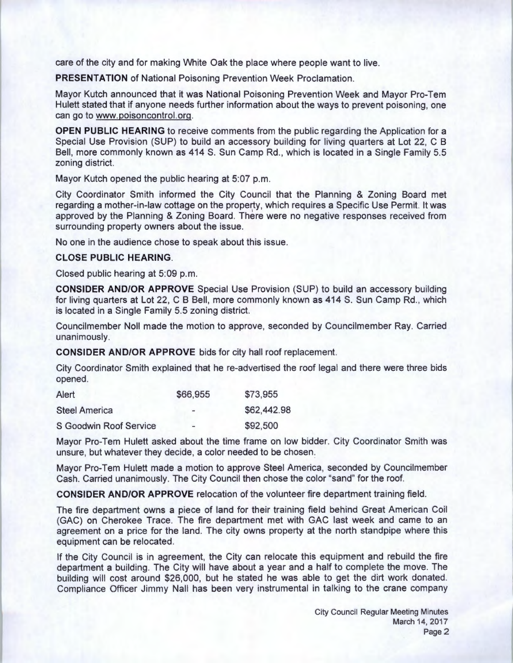care of the city and for making White Oak the place where people want to live.

**PRESENTATION** of National Poisoning Prevention Week Proclamation.

Mayor Kutch announced that it was National Poisoning Prevention Week and Mayor Pro-Tem Hulett stated that if anyone needs further information about the ways to prevent poisoning, one can go to www.poisoncontrol.org.

**OPEN PUBLIC HEARING** to receive comments from the public regarding the Application for a Special Use Provision (SUP) to build an accessory building for living quarters at Lot 22, C B Bell, more commonly known as 414 S. Sun Camp Rd., which is located in a Single Family 5.5 zoning district.

Mayor Kutch opened the public hearing at 5:07 p.m.

City Coordinator Smith informed the City Council that the Planning & Zoning Board met regarding a mother-in-law cottage on the property, which requires a Specific Use Permit. It was approved by the Planning & Zoning Board. There were no negative responses received from surrounding property owners about the issue.

No one in the audience chose to speak about this issue.

### **CLOSE PUBLIC HEARING.**

Closed public hearing at 5:09 p.m.

**CONSIDER AND/OR APPROVE** Special Use Provision (SUP) to build an accessory building for living quarters at Lot 22, C B Bell, more commonly known as 414 S. Sun Camp Rd., which is located in a Single Family 5.5 zoning district.

Councilmember Noll made the motion to approve, seconded by Councilmember Ray. Carried unanimously.

**CONSIDER AND/OR APPROVE** bids for city hall roof replacement.

City Coordinator Smith explained that he re-advertised the roof legal and there were three bids opened.

| Alert                         | \$66,955                     | \$73,955    |
|-------------------------------|------------------------------|-------------|
| <b>Steel America</b>          | $\qquad \qquad \blacksquare$ | \$62,442.98 |
| <b>S Goodwin Roof Service</b> | $\rightarrow$                | \$92,500    |

Mayor Pro-Tem Hulett asked about the time frame on low bidder. City Coordinator Smith was unsure, but whatever they decide, a color needed to be chosen:

Mayor Pro-Tem Hulett made a motion to approve Steel America, seconded by Councilmember Cash. Carried unanimously. The City Council then chose the color "sand" for the roof.

**CONSIDER AND/OR APPROVE** relocation of the volunteer fire department training field .

The fire department owns a piece of land for their training field behind Great American Coil (GAC) on Cherokee Trace. The fire department met with GAC last week and came to an agreement on a price for the land. The city owns property at the north standpipe where this equipment can be relocated.

If the City Council is in agreement, the City can relocate this equipment and rebuild the fire department a building. The City will have about a year and a half to complete the move. The building will cost around \$26,000, but he stated he was able to get the dirt work donated. Compliance Officer Jimmy Nail has been very instrumental in talking to the crane company